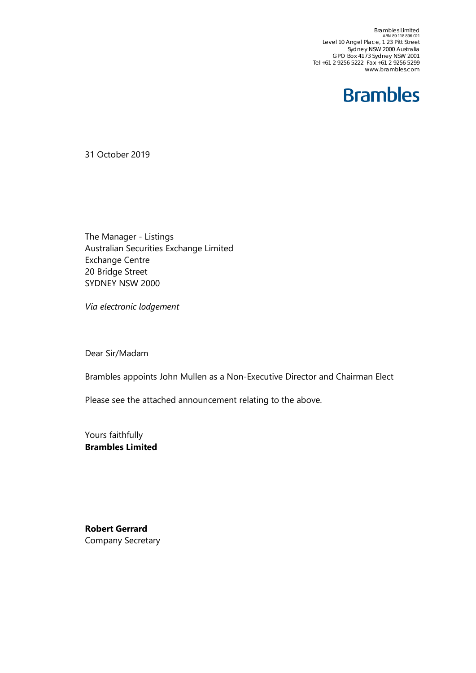Brambles Limited<br>ABN 89 118 896 021<br>Level 10 Angel Place, 1 23 Pitt Street Sydney NSW 2000 Australia GPO Box 4173 Sydney NSW 2001 Tel +61 2 9256 5222 Fax +61 2 9256 5299 www.brambles.com



31 October 2019

The Manager - Listings Australian Securities Exchange Limited Exchange Centre 20 Bridge Street SYDNEY NSW 2000

*Via electronic lodgement*

Dear Sir/Madam

Brambles appoints John Mullen as a Non-Executive Director and Chairman Elect

Please see the attached announcement relating to the above.

Yours faithfully **Brambles Limited**

**Robert Gerrard** Company Secretary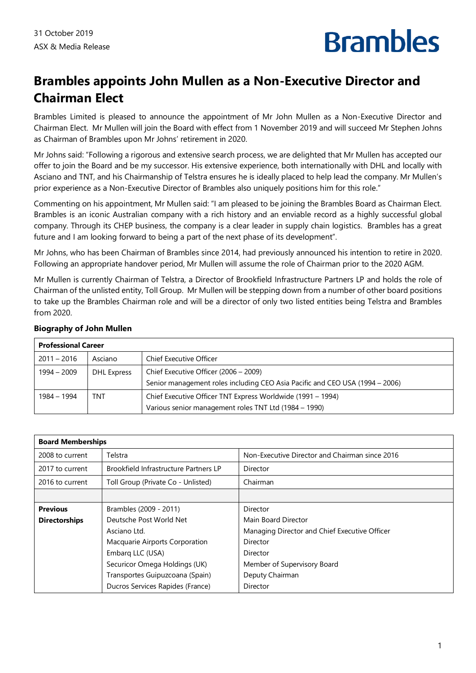# **Brambles**

### **Brambles appoints John Mullen as a Non-Executive Director and Chairman Elect**

Brambles Limited is pleased to announce the appointment of Mr John Mullen as a Non-Executive Director and Chairman Elect. Mr Mullen will join the Board with effect from 1 November 2019 and will succeed Mr Stephen Johns as Chairman of Brambles upon Mr Johns' retirement in 2020.

Mr Johns said: "Following a rigorous and extensive search process, we are delighted that Mr Mullen has accepted our offer to join the Board and be my successor. His extensive experience, both internationally with DHL and locally with Asciano and TNT, and his Chairmanship of Telstra ensures he is ideally placed to help lead the company. Mr Mullen's prior experience as a Non-Executive Director of Brambles also uniquely positions him for this role."

Commenting on his appointment, Mr Mullen said: "I am pleased to be joining the Brambles Board as Chairman Elect. Brambles is an iconic Australian company with a rich history and an enviable record as a highly successful global company. Through its CHEP business, the company is a clear leader in supply chain logistics. Brambles has a great future and I am looking forward to being a part of the next phase of its development".

Mr Johns, who has been Chairman of Brambles since 2014, had previously announced his intention to retire in 2020. Following an appropriate handover period, Mr Mullen will assume the role of Chairman prior to the 2020 AGM.

Mr Mullen is currently Chairman of Telstra, a Director of Brookfield Infrastructure Partners LP and holds the role of Chairman of the unlisted entity, Toll Group. Mr Mullen will be stepping down from a number of other board positions to take up the Brambles Chairman role and will be a director of only two listed entities being Telstra and Brambles from 2020.

| <b>Professional Career</b> |             |                                                                              |  |
|----------------------------|-------------|------------------------------------------------------------------------------|--|
| $2011 - 2016$              | Asciano     | Chief Executive Officer                                                      |  |
| 1994 – 2009                | DHL Express | Chief Executive Officer (2006 – 2009)                                        |  |
|                            |             | Senior management roles including CEO Asia Pacific and CEO USA (1994 - 2006) |  |
| 1984 – 1994                | TNT         | Chief Executive Officer TNT Express Worldwide (1991 – 1994)                  |  |
|                            |             | Various senior management roles TNT Ltd (1984 - 1990)                        |  |

### **Biography of John Mullen**

| <b>Board Memberships</b>                  |                                       |                                                |  |
|-------------------------------------------|---------------------------------------|------------------------------------------------|--|
| 2008 to current                           | Telstra                               | Non-Executive Director and Chairman since 2016 |  |
| 2017 to current                           | Brookfield Infrastructure Partners LP | Director                                       |  |
| 2016 to current                           | Toll Group (Private Co - Unlisted)    | Chairman                                       |  |
|                                           |                                       |                                                |  |
| <b>Previous</b><br>Brambles (2009 - 2011) |                                       | Director                                       |  |
| <b>Directorships</b>                      | Deutsche Post World Net               | Main Board Director                            |  |
|                                           | Asciano Ltd.                          | Managing Director and Chief Executive Officer  |  |
|                                           | Macquarie Airports Corporation        | Director                                       |  |
|                                           | Embarg LLC (USA)                      | Director                                       |  |
|                                           | Securicor Omega Holdings (UK)         | Member of Supervisory Board                    |  |
|                                           | Transportes Guipuzcoana (Spain)       | Deputy Chairman                                |  |
|                                           | Ducros Services Rapides (France)      | Director                                       |  |